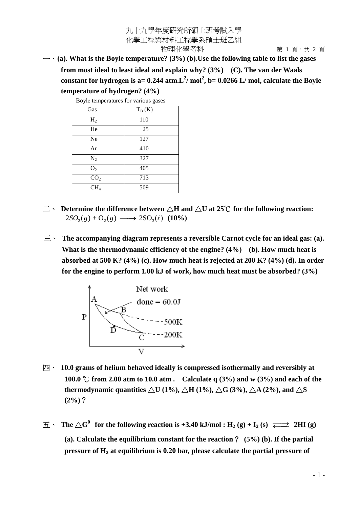## 九十九學年度研究所碩士班考試入學 化學工程與材料工程學系碩士班乙組 物理化學考科 有一個 有 1 頁, 共 2 頁

一、**(a). What is the Boyle temperature? (3%) (b).Use the following table to list the gases from most ideal to least ideal and explain why? (3%) (C). The van der Waals** constant for hydrogen is a=  $0.244$  atm. $L^2/mol^2$ , b=  $0.0266$  L/mol, calculate the Boyle **temperature of hydrogen? (4%)**

| Do yic temperatures for various gases |          |
|---------------------------------------|----------|
| Gas                                   | $T_B(K)$ |
| H <sub>2</sub>                        | 110      |
| He                                    | 25       |
| Ne                                    | 127      |
| Ar                                    | 410      |
| $N_2$                                 | 327      |
| O <sub>2</sub>                        | 405      |
| CO <sub>2</sub>                       | 713      |
| CH <sub>4</sub>                       | 509      |

Boyle temperatures for various gases

- $\equiv$   $\cdot$  Determine the difference between  $\wedge$ H and  $\wedge$ U at 25<sup>o</sup>C for the following reaction:  $2SO_2(g) + O_2(g) \longrightarrow 2SO_3(\ell)$  (10%)
- 三、 **The accompanying diagram represents a reversible Carnot cycle for an ideal gas: (a). What is the thermodynamic efficiency of the engine? (4%) (b). How much heat is absorbed at 500 K? (4%) (c). How much heat is rejected at 200 K? (4%) (d). In order for the engine to perform 1.00 kJ of work, how much heat must be absorbed? (3%)**



- 四、 **10.0 grams of helium behaved ideally is compressed isothermally and reversibly at 100.0** °C from 2.00 atm to 10.0 atm . Calculate q (3%) and w (3%) and each of the **thermodynamic quantities**  $\triangle$ U (1%),  $\triangle$ H (1%),  $\triangle$ G (3%),  $\triangle$ A (2%), and  $\triangle$ S **(2%)**?
- $\overline{\textbf{H}}$   $\cdot$  **The**  $\triangle \textbf{G}^0$  **for the following reaction is +3.40 kJ/mol : H<sub>2</sub> (g) + I<sub>2</sub> (s)**  $\overrightarrow{ } \implies$  **2HI (g) (a). Calculate the equilibrium constant for the reaction**? **(5%) (b). If the partial pressure of H<sup>2</sup> at equilibrium is 0.20 bar, please calculate the partial pressure of**